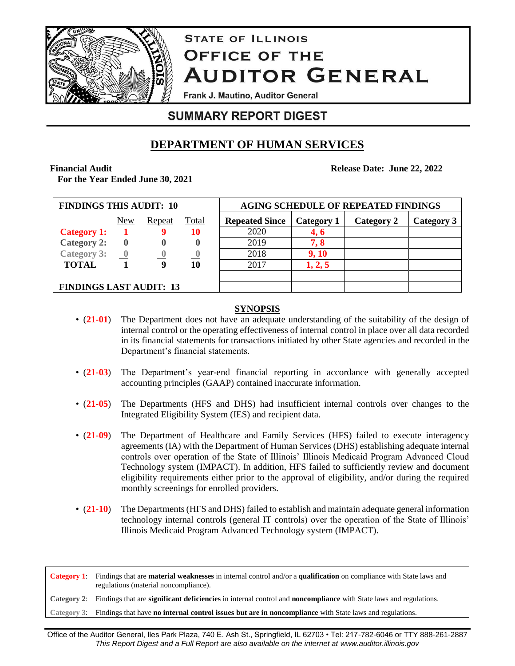

# **STATE OF ILLINOIS OFFICE OF THE AUDITOR GENERAL**

**Frank J. Mautino, Auditor General** 

## **SUMMARY REPORT DIGEST**

## **DEPARTMENT OF HUMAN SERVICES**

## **Financial Audit**

**For the Year Ended June 30, 2021**

 **Release Date: June 22, 2022**

| <b>FINDINGS THIS AUDIT: 10</b> |                          |        |              | <b>AGING SCHEDULE OF REPEATED FINDINGS</b> |            |            |            |  |
|--------------------------------|--------------------------|--------|--------------|--------------------------------------------|------------|------------|------------|--|
|                                | <u>New</u>               | Repeat | <u>Total</u> | <b>Repeated Since</b>                      | Category 1 | Category 2 | Category 3 |  |
| <b>Category 1:</b>             |                          |        | 10           | 2020                                       | 4, 6       |            |            |  |
| Category 2:                    |                          |        |              | 2019                                       | 7, 8       |            |            |  |
| <b>Category 3:</b>             | $\overline{\phantom{a}}$ |        | $\mathbf{0}$ | 2018                                       | 9, 10      |            |            |  |
| <b>TOTAL</b>                   |                          |        | 10           | 2017                                       | 1, 2, 5    |            |            |  |
|                                |                          |        |              |                                            |            |            |            |  |
| <b>FINDINGS LAST AUDIT: 13</b> |                          |        |              |                                            |            |            |            |  |

## **SYNOPSIS**

- (21-01) The Department does not have an adequate understanding of the suitability of the design of internal control or the operating effectiveness of internal control in place over all data recorded in its financial statements for transactions initiated by other State agencies and recorded in the Department's financial statements.
- (**21-03**) The Department's year-end financial reporting in accordance with generally accepted accounting principles (GAAP) contained inaccurate information.
- (**21-05**) The Departments (HFS and DHS) had insufficient internal controls over changes to the Integrated Eligibility System (IES) and recipient data.
- (**21-09**) The Department of Healthcare and Family Services (HFS) failed to execute interagency agreements (IA) with the Department of Human Services (DHS) establishing adequate internal controls over operation of the State of Illinois' Illinois Medicaid Program Advanced Cloud Technology system (IMPACT). In addition, HFS failed to sufficiently review and document eligibility requirements either prior to the approval of eligibility, and/or during the required monthly screenings for enrolled providers.
- (**21-10**)The Departments (HFS and DHS) failed to establish and maintain adequate general information technology internal controls (general IT controls) over the operation of the State of Illinois' Illinois Medicaid Program Advanced Technology system (IMPACT).

**Category 1**: Findings that are **material weaknesses** in internal control and/or a **qualification** on compliance with State laws and regulations (material noncompliance).

**Category 2**: Findings that are **significant deficiencies** in internal control and **noncompliance** with State laws and regulations.

**Category 3**: Findings that have **no internal control issues but are in noncompliance** with State laws and regulations.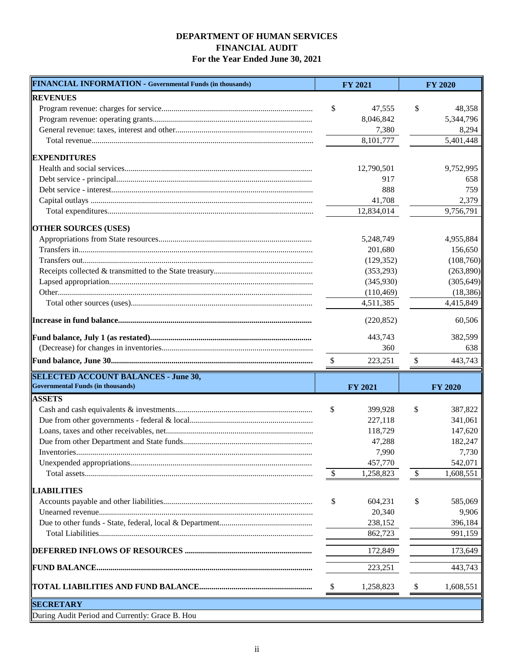## **DEPARTMENT OF HUMAN SERVICES FINANCIAL AUDIT For the Year Ended June 30, 2021**

| <b>FINANCIAL INFORMATION - Governmental Funds (in thousands)</b> |                           | <b>FY 2021</b> |                           | <b>FY 2020</b> |
|------------------------------------------------------------------|---------------------------|----------------|---------------------------|----------------|
| <b>REVENUES</b>                                                  |                           |                |                           |                |
|                                                                  | \$                        | 47,555         | \$                        | 48,358         |
|                                                                  |                           | 8,046,842      |                           | 5,344,796      |
|                                                                  |                           | 7,380          |                           | 8,294          |
|                                                                  |                           | 8,101,777      |                           | 5,401,448      |
| <b>EXPENDITURES</b>                                              |                           |                |                           |                |
|                                                                  |                           | 12,790,501     |                           | 9,752,995      |
|                                                                  |                           | 917            |                           | 658            |
|                                                                  |                           | 888            |                           | 759            |
|                                                                  |                           | 41,708         |                           | 2,379          |
|                                                                  |                           | 12,834,014     |                           | 9,756,791      |
| <b>OTHER SOURCES (USES)</b>                                      |                           |                |                           |                |
|                                                                  |                           | 5,248,749      |                           | 4,955,884      |
|                                                                  |                           | 201,680        |                           | 156,650        |
|                                                                  |                           | (129, 352)     |                           | (108,760)      |
|                                                                  |                           | (353,293)      |                           | (263,890)      |
|                                                                  |                           | (345,930)      |                           | (305, 649)     |
|                                                                  |                           | (110, 469)     |                           | (18, 386)      |
|                                                                  |                           | 4,511,385      |                           | 4,415,849      |
|                                                                  |                           | (220, 852)     |                           | 60,506         |
|                                                                  |                           | 443,743        |                           | 382,599        |
|                                                                  |                           | 360            |                           | 638            |
|                                                                  | $\boldsymbol{\mathsf{S}}$ | 223,251        | \$                        | 443,743        |
| <b>SELECTED ACCOUNT BALANCES - June 30,</b>                      |                           |                |                           |                |
| <b>Governmental Funds (in thousands)</b>                         |                           | <b>FY 2021</b> |                           | <b>FY 2020</b> |
| <b>ASSETS</b>                                                    |                           |                |                           |                |
|                                                                  | \$                        | 399.928        | \$                        | 387,822        |
|                                                                  |                           | 227,118        |                           | 341,061        |
|                                                                  |                           | 118,729        |                           | 147,620        |
|                                                                  |                           | 47,288         |                           | 182,247        |
|                                                                  |                           | 7,990          |                           | 7,730          |
|                                                                  |                           | 457,770        |                           | 542,071        |
|                                                                  | -\$                       | 1,258,823      | $\mathcal{S}$             | 1,608,551      |
| <b>LIABILITIES</b>                                               |                           |                |                           |                |
|                                                                  | \$                        | 604,231        | \$                        | 585,069        |
|                                                                  |                           | 20,340         |                           | 9,906          |
|                                                                  |                           | 238,152        |                           | 396,184        |
|                                                                  |                           | 862,723        |                           | 991,159        |
|                                                                  |                           | 172,849        |                           | 173,649        |
|                                                                  |                           | 223,251        |                           | 443,743        |
|                                                                  |                           |                |                           |                |
|                                                                  | $\$\,$                    | 1,258,823      | $\boldsymbol{\mathsf{S}}$ | 1,608,551      |
| <b>SECRETARY</b>                                                 |                           |                |                           |                |
| During Audit Period and Currently: Grace B. Hou                  |                           |                |                           |                |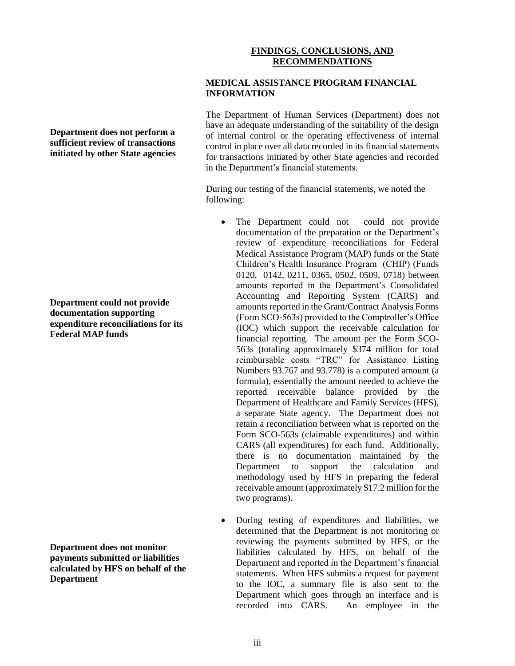## **FINDINGS, CONCLUSIONS, AND RECOMMENDATIONS**

#### **MEDICAL ASSISTANCE PROGRAM FINANCIAL INFORMATION**

The Department of Human Services (Department) does not have an adequate understanding of the suitability of the design of internal control or the operating effectiveness of internal control in place over all data recorded in its financial statements for transactions initiated by other State agencies and recorded in the Department's financial statements.

During our testing of the financial statements, we noted the following:

- The Department could not could not provide documentation of the preparation or the Department's review of expenditure reconciliations for Federal Medical Assistance Program (MAP) funds or the State Children's Health Insurance Program (CHIP) (Funds 0120, 0142, 0211, 0365, 0502, 0509, 0718) between amounts reported in the Department's Consolidated Accounting and Reporting System (CARS) and amounts reported in the Grant/Contract Analysis Forms (Form SCO-563s) provided to the Comptroller's Office (IOC) which support the receivable calculation for financial reporting. The amount per the Form SCO-563s (totaling approximately \$374 million for total reimbursable costs "TRC" for Assistance Listing Numbers 93.767 and 93.778) is a computed amount (a formula), essentially the amount needed to achieve the reported receivable balance provided by the Department of Healthcare and Family Services (HFS), a separate State agency. The Department does not retain a reconciliation between what is reported on the Form SCO-563s (claimable expenditures) and within CARS (all expenditures) for each fund. Additionally, there is no documentation maintained by the Department to support the calculation and methodology used by HFS in preparing the federal receivable amount (approximately \$17.2 million for the two programs).
- During testing of expenditures and liabilities, we determined that the Department is not monitoring or reviewing the payments submitted by HFS, or the liabilities calculated by HFS, on behalf of the Department and reported in the Department's financial statements. When HFS submits a request for payment to the IOC, a summary file is also sent to the Department which goes through an interface and is recorded into CARS. An employee in the

**Department does not perform a sufficient review of transactions initiated by other State agencies**

**Department could not provide documentation supporting expenditure reconciliations for its Federal MAP funds**

**Department does not monitor payments submitted or liabilities calculated by HFS on behalf of the Department**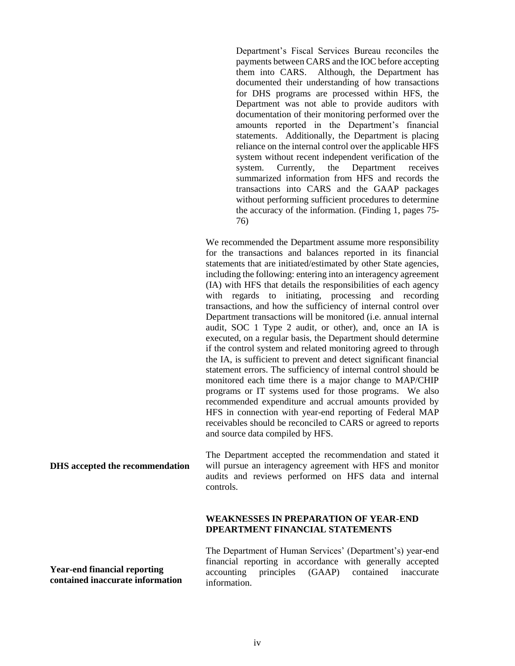Department's Fiscal Services Bureau reconciles the payments between CARS and the IOC before accepting them into CARS. Although, the Department has documented their understanding of how transactions for DHS programs are processed within HFS, the Department was not able to provide auditors with documentation of their monitoring performed over the amounts reported in the Department's financial statements. Additionally, the Department is placing reliance on the internal control over the applicable HFS system without recent independent verification of the system. Currently, the Department receives summarized information from HFS and records the transactions into CARS and the GAAP packages without performing sufficient procedures to determine the accuracy of the information. (Finding 1, pages 75- 76)

We recommended the Department assume more responsibility for the transactions and balances reported in its financial statements that are initiated/estimated by other State agencies, including the following: entering into an interagency agreement (IA) with HFS that details the responsibilities of each agency with regards to initiating, processing and recording transactions, and how the sufficiency of internal control over Department transactions will be monitored (i.e. annual internal audit, SOC 1 Type 2 audit, or other), and, once an IA is executed, on a regular basis, the Department should determine if the control system and related monitoring agreed to through the IA, is sufficient to prevent and detect significant financial statement errors. The sufficiency of internal control should be monitored each time there is a major change to MAP/CHIP programs or IT systems used for those programs. We also recommended expenditure and accrual amounts provided by HFS in connection with year-end reporting of Federal MAP receivables should be reconciled to CARS or agreed to reports and source data compiled by HFS.

**DHS accepted the recommendation**

The Department accepted the recommendation and stated it will pursue an interagency agreement with HFS and monitor audits and reviews performed on HFS data and internal controls.

#### **WEAKNESSES IN PREPARATION OF YEAR-END DPEARTMENT FINANCIAL STATEMENTS**

**Year-end financial reporting contained inaccurate information** The Department of Human Services' (Department's) year-end financial reporting in accordance with generally accepted accounting principles (GAAP) contained inaccurate information.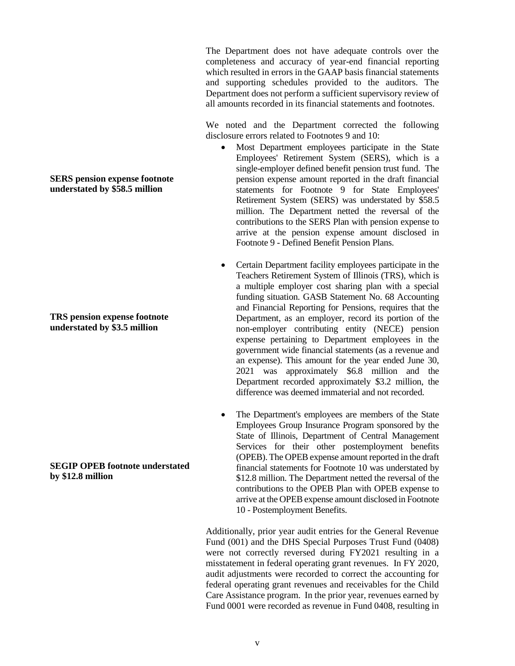The Department does not have adequate controls over the completeness and accuracy of year-end financial reporting which resulted in errors in the GAAP basis financial statements and supporting schedules provided to the auditors. The Department does not perform a sufficient supervisory review of all amounts recorded in its financial statements and footnotes.

We noted and the Department corrected the following disclosure errors related to Footnotes 9 and 10:

- Most Department employees participate in the State Employees' Retirement System (SERS), which is a single-employer defined benefit pension trust fund. The pension expense amount reported in the draft financial statements for Footnote 9 for State Employees' Retirement System (SERS) was understated by \$58.5 million. The Department netted the reversal of the contributions to the SERS Plan with pension expense to arrive at the pension expense amount disclosed in Footnote 9 - Defined Benefit Pension Plans.
- Certain Department facility employees participate in the Teachers Retirement System of Illinois (TRS), which is a multiple employer cost sharing plan with a special funding situation. GASB Statement No. 68 Accounting and Financial Reporting for Pensions, requires that the Department, as an employer, record its portion of the non-employer contributing entity (NECE) pension expense pertaining to Department employees in the government wide financial statements (as a revenue and an expense). This amount for the year ended June 30, 2021 was approximately \$6.8 million and the Department recorded approximately \$3.2 million, the difference was deemed immaterial and not recorded.
- The Department's employees are members of the State Employees Group Insurance Program sponsored by the State of Illinois, Department of Central Management Services for their other postemployment benefits (OPEB). The OPEB expense amount reported in the draft financial statements for Footnote 10 was understated by \$12.8 million. The Department netted the reversal of the contributions to the OPEB Plan with OPEB expense to arrive at the OPEB expense amount disclosed in Footnote 10 - Postemployment Benefits.

Additionally, prior year audit entries for the General Revenue Fund (001) and the DHS Special Purposes Trust Fund (0408) were not correctly reversed during FY2021 resulting in a misstatement in federal operating grant revenues. In FY 2020, audit adjustments were recorded to correct the accounting for federal operating grant revenues and receivables for the Child Care Assistance program. In the prior year, revenues earned by Fund 0001 were recorded as revenue in Fund 0408, resulting in

#### **SERS pension expense footnote understated by \$58.5 million**

**TRS pension expense footnote understated by \$3.5 million**

### **SEGIP OPEB footnote understated by \$12.8 million**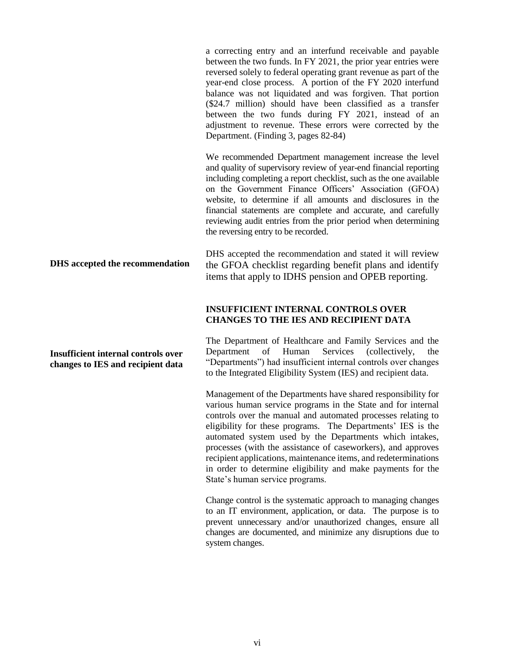**DHS accepted the recommendation** a correcting entry and an interfund receivable and payable between the two funds. In FY 2021, the prior year entries were reversed solely to federal operating grant revenue as part of the year-end close process. A portion of the FY 2020 interfund balance was not liquidated and was forgiven. That portion (\$24.7 million) should have been classified as a transfer between the two funds during FY 2021, instead of an adjustment to revenue. These errors were corrected by the Department. (Finding 3, pages 82-84) We recommended Department management increase the level and quality of supervisory review of year-end financial reporting including completing a report checklist, such as the one available on the Government Finance Officers' Association (GFOA) website, to determine if all amounts and disclosures in the financial statements are complete and accurate, and carefully reviewing audit entries from the prior period when determining the reversing entry to be recorded. DHS accepted the recommendation and stated it will review the GFOA checklist regarding benefit plans and identify items that apply to IDHS pension and OPEB reporting. **INSUFFICIENT INTERNAL CONTROLS OVER CHANGES TO THE IES AND RECIPIENT DATA**

> The Department of Healthcare and Family Services and the Department of Human Services (collectively, the "Departments") had insufficient internal controls over changes to the Integrated Eligibility System (IES) and recipient data.

> Management of the Departments have shared responsibility for various human service programs in the State and for internal controls over the manual and automated processes relating to eligibility for these programs. The Departments' IES is the automated system used by the Departments which intakes, processes (with the assistance of caseworkers), and approves recipient applications, maintenance items, and redeterminations in order to determine eligibility and make payments for the State's human service programs.

> Change control is the systematic approach to managing changes to an IT environment, application, or data. The purpose is to prevent unnecessary and/or unauthorized changes, ensure all changes are documented, and minimize any disruptions due to system changes.

#### **Insufficient internal controls over changes to IES and recipient data**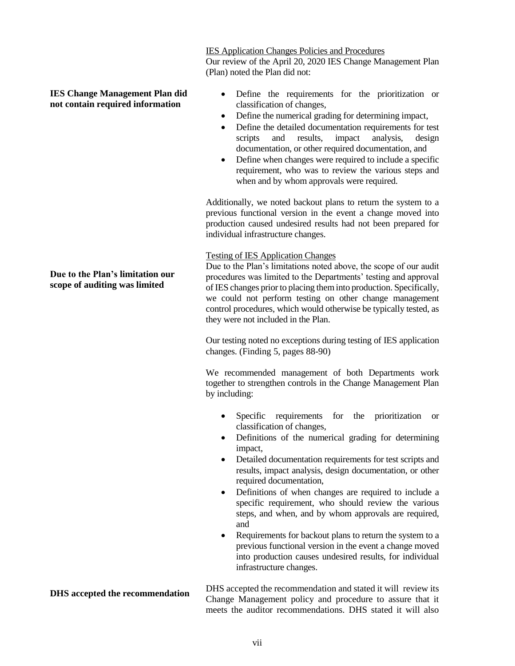#### **Due to the Plan's limitation our scope of auditing was limited**

#### **IES Change Management Plan did not contain required information**

(Plan) noted the Plan did not:

Our review of the April 20, 2020 IES Change Management Plan

IES Application Changes Policies and Procedures

- Define the requirements for the prioritization or classification of changes,
- Define the numerical grading for determining impact,
- Define the detailed documentation requirements for test scripts and results, impact analysis, design scripts and results, impact analysis, design documentation, or other required documentation, and
- Define when changes were required to include a specific requirement, who was to review the various steps and when and by whom approvals were required.

Additionally, we noted backout plans to return the system to a previous functional version in the event a change moved into production caused undesired results had not been prepared for individual infrastructure changes.

## Testing of IES Application Changes

Due to the Plan's limitations noted above, the scope of our audit procedures was limited to the Departments' testing and approval of IES changes prior to placing them into production. Specifically, we could not perform testing on other change management control procedures, which would otherwise be typically tested, as they were not included in the Plan.

Our testing noted no exceptions during testing of IES application changes. (Finding 5, pages 88-90)

We recommended management of both Departments work together to strengthen controls in the Change Management Plan by including:

- Specific requirements for the prioritization or classification of changes,
- Definitions of the numerical grading for determining impact,
- Detailed documentation requirements for test scripts and results, impact analysis, design documentation, or other required documentation,
- Definitions of when changes are required to include a specific requirement, who should review the various steps, and when, and by whom approvals are required, and
- Requirements for backout plans to return the system to a previous functional version in the event a change moved into production causes undesired results, for individual infrastructure changes.

DHS accepted the recommendation and stated it will review its Change Management policy and procedure to assure that it meets the auditor recommendations. DHS stated it will also

**DHS accepted the recommendation**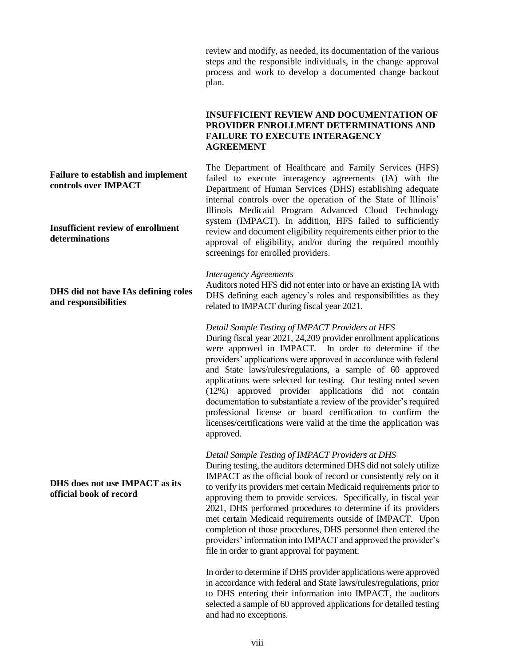review and modify, as needed, its documentation of the various steps and the responsible individuals, in the change approval process and work to develop a documented change backout plan.

#### **INSUFFICIENT REVIEW AND DOCUMENTATION OF PROVIDER ENROLLMENT DETERMINATIONS AND FAILURE TO EXECUTE INTERAGENCY AGREEMENT**

#### **Failure to establish and implement controls over IMPACT**

**Insufficient review of enrollment determinations**

**DHS did not have IAs defining roles and responsibilities**

**DHS does not use IMPACT as its official book of record**

#### The Department of Healthcare and Family Services (HFS) failed to execute interagency agreements (IA) with the Department of Human Services (DHS) establishing adequate internal controls over the operation of the State of Illinois' Illinois Medicaid Program Advanced Cloud Technology system (IMPACT). In addition, HFS failed to sufficiently review and document eligibility requirements either prior to the approval of eligibility, and/or during the required monthly screenings for enrolled providers.

#### *Interagency Agreements*

Auditors noted HFS did not enter into or have an existing IA with DHS defining each agency's roles and responsibilities as they related to IMPACT during fiscal year 2021.

#### *Detail Sample Testing of IMPACT Providers at HFS*

During fiscal year 2021, 24,209 provider enrollment applications were approved in IMPACT. In order to determine if the providers' applications were approved in accordance with federal and State laws/rules/regulations, a sample of 60 approved applications were selected for testing. Our testing noted seven (12%) approved provider applications did not contain documentation to substantiate a review of the provider's required professional license or board certification to confirm the licenses/certifications were valid at the time the application was approved.

#### *Detail Sample Testing of IMPACT Providers at DHS*

During testing, the auditors determined DHS did not solely utilize IMPACT as the official book of record or consistently rely on it to verify its providers met certain Medicaid requirements prior to approving them to provide services. Specifically, in fiscal year 2021, DHS performed procedures to determine if its providers met certain Medicaid requirements outside of IMPACT. Upon completion of those procedures, DHS personnel then entered the providers' information into IMPACT and approved the provider's file in order to grant approval for payment.

In order to determine if DHS provider applications were approved in accordance with federal and State laws/rules/regulations, prior to DHS entering their information into IMPACT, the auditors selected a sample of 60 approved applications for detailed testing and had no exceptions.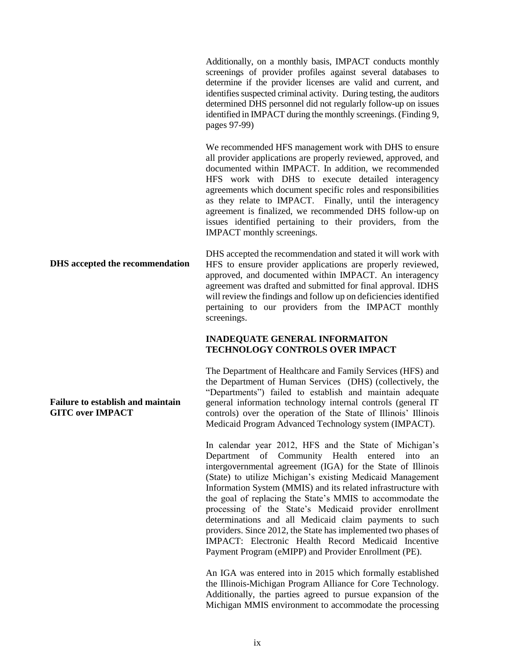Additionally, on a monthly basis, IMPACT conducts monthly screenings of provider profiles against several databases to determine if the provider licenses are valid and current, and identifies suspected criminal activity. During testing, the auditors determined DHS personnel did not regularly follow-up on issues identified in IMPACT during the monthly screenings. (Finding 9, pages 97-99)

We recommended HFS management work with DHS to ensure all provider applications are properly reviewed, approved, and documented within IMPACT. In addition, we recommended HFS work with DHS to execute detailed interagency agreements which document specific roles and responsibilities as they relate to IMPACT. Finally, until the interagency agreement is finalized, we recommended DHS follow-up on issues identified pertaining to their providers, from the IMPACT monthly screenings.

DHS accepted the recommendation and stated it will work with HFS to ensure provider applications are properly reviewed, approved, and documented within IMPACT. An interagency agreement was drafted and submitted for final approval. IDHS will review the findings and follow up on deficiencies identified pertaining to our providers from the IMPACT monthly screenings.

#### **INADEQUATE GENERAL INFORMAITON TECHNOLOGY CONTROLS OVER IMPACT**

The Department of Healthcare and Family Services (HFS) and the Department of Human Services (DHS) (collectively, the "Departments") failed to establish and maintain adequate general information technology internal controls (general IT controls) over the operation of the State of Illinois' Illinois Medicaid Program Advanced Technology system (IMPACT).

In calendar year 2012, HFS and the State of Michigan's Department of Community Health entered into an intergovernmental agreement (IGA) for the State of Illinois (State) to utilize Michigan's existing Medicaid Management Information System (MMIS) and its related infrastructure with the goal of replacing the State's MMIS to accommodate the processing of the State's Medicaid provider enrollment determinations and all Medicaid claim payments to such providers. Since 2012, the State has implemented two phases of IMPACT: Electronic Health Record Medicaid Incentive Payment Program (eMIPP) and Provider Enrollment (PE).

An IGA was entered into in 2015 which formally established the Illinois-Michigan Program Alliance for Core Technology. Additionally, the parties agreed to pursue expansion of the Michigan MMIS environment to accommodate the processing

**DHS accepted the recommendation**

**Failure to establish and maintain GITC over IMPACT**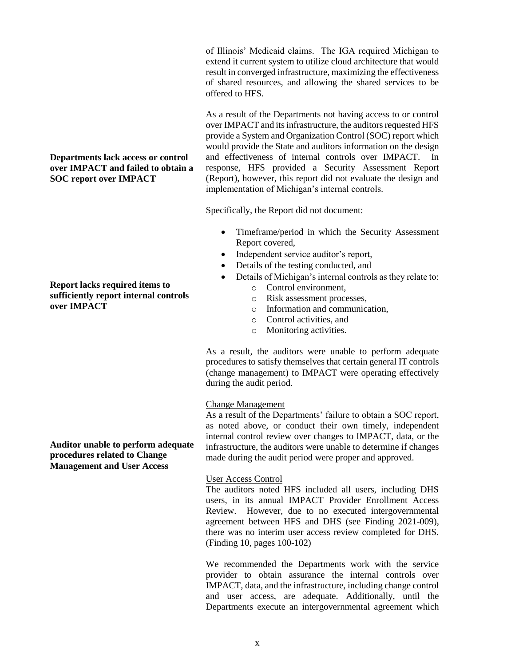of Illinois' Medicaid claims. The IGA required Michigan to extend it current system to utilize cloud architecture that would result in converged infrastructure, maximizing the effectiveness of shared resources, and allowing the shared services to be offered to HFS.

As a result of the Departments not having access to or control over IMPACT and its infrastructure, the auditors requested HFS provide a System and Organization Control (SOC) report which would provide the State and auditors information on the design and effectiveness of internal controls over IMPACT. In response, HFS provided a Security Assessment Report (Report), however, this report did not evaluate the design and implementation of Michigan's internal controls.

Specifically, the Report did not document:

- Timeframe/period in which the Security Assessment Report covered,
- Independent service auditor's report,
- Details of the testing conducted, and
- Details of Michigan's internal controls as they relate to:
	- o Control environment,
	- o Risk assessment processes,
	- o Information and communication,
	- o Control activities, and
	- o Monitoring activities.

As a result, the auditors were unable to perform adequate procedures to satisfy themselves that certain general IT controls (change management) to IMPACT were operating effectively during the audit period.

#### Change Management

As a result of the Departments' failure to obtain a SOC report, as noted above, or conduct their own timely, independent internal control review over changes to IMPACT, data, or the infrastructure, the auditors were unable to determine if changes made during the audit period were proper and approved.

#### User Access Control

The auditors noted HFS included all users, including DHS users, in its annual IMPACT Provider Enrollment Access Review. However, due to no executed intergovernmental agreement between HFS and DHS (see Finding 2021-009), there was no interim user access review completed for DHS. (Finding 10, pages 100-102)

We recommended the Departments work with the service provider to obtain assurance the internal controls over IMPACT, data, and the infrastructure, including change control and user access, are adequate. Additionally, until the Departments execute an intergovernmental agreement which

#### **Departments lack access or control over IMPACT and failed to obtain a SOC report over IMPACT**

**Report lacks required items to sufficiently report internal controls over IMPACT**

**Auditor unable to perform adequate procedures related to Change Management and User Access**